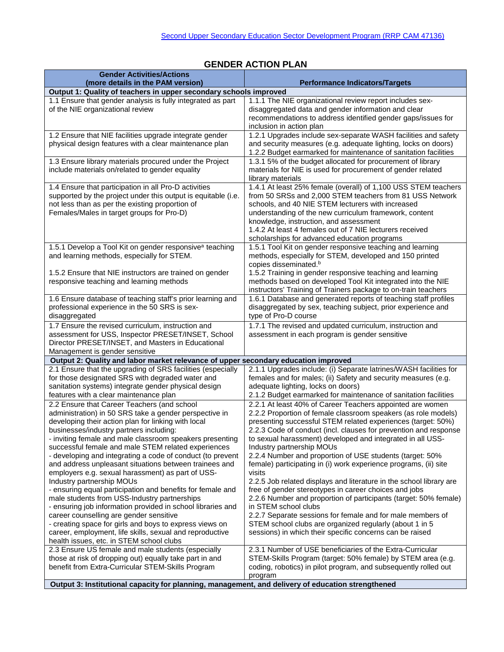| <b>Gender Activities/Actions</b>                                                                                     |                                                                                                                                |
|----------------------------------------------------------------------------------------------------------------------|--------------------------------------------------------------------------------------------------------------------------------|
| (more details in the PAM version)                                                                                    | <b>Performance Indicators/Targets</b>                                                                                          |
| Output 1: Quality of teachers in upper secondary schools improved                                                    |                                                                                                                                |
| 1.1 Ensure that gender analysis is fully integrated as part                                                          | 1.1.1 The NIE organizational review report includes sex-                                                                       |
| of the NIE organizational review                                                                                     | disaggregated data and gender information and clear                                                                            |
|                                                                                                                      | recommendations to address identified gender gaps/issues for<br>inclusion in action plan                                       |
| 1.2 Ensure that NIE facilities upgrade integrate gender                                                              | 1.2.1 Upgrades include sex-separate WASH facilities and safety                                                                 |
| physical design features with a clear maintenance plan                                                               | and security measures (e.g. adequate lighting, locks on doors)                                                                 |
|                                                                                                                      | 1.2.2 Budget earmarked for maintenance of sanitation facilities                                                                |
| 1.3 Ensure library materials procured under the Project                                                              | 1.3.1 5% of the budget allocated for procurement of library                                                                    |
| include materials on/related to gender equality                                                                      | materials for NIE is used for procurement of gender related                                                                    |
|                                                                                                                      | library materials                                                                                                              |
| 1.4 Ensure that participation in all Pro-D activities                                                                | 1.4.1 At least 25% female (overall) of 1,100 USS STEM teachers                                                                 |
| supported by the project under this output is equitable (i.e.                                                        | from 50 SRSs and 2,000 STEM teachers from 81 USS Network                                                                       |
| not less than as per the existing proportion of                                                                      | schools, and 40 NIE STEM lecturers with increased                                                                              |
| Females/Males in target groups for Pro-D)                                                                            | understanding of the new curriculum framework, content                                                                         |
|                                                                                                                      | knowledge, instruction, and assessment                                                                                         |
|                                                                                                                      | 1.4.2 At least 4 females out of 7 NIE lecturers received<br>scholarships for advanced education programs                       |
| 1.5.1 Develop a Tool Kit on gender responsive <sup>a</sup> teaching                                                  | 1.5.1 Tool Kit on gender responsive teaching and learning                                                                      |
| and learning methods, especially for STEM.                                                                           | methods, especially for STEM, developed and 150 printed                                                                        |
|                                                                                                                      | copies disseminated. <sup>b</sup>                                                                                              |
| 1.5.2 Ensure that NIE instructors are trained on gender                                                              | 1.5.2 Training in gender responsive teaching and learning                                                                      |
| responsive teaching and learning methods                                                                             | methods based on developed Tool Kit integrated into the NIE                                                                    |
|                                                                                                                      | instructors' Training of Trainers package to on-train teachers                                                                 |
| 1.6 Ensure database of teaching staff's prior learning and                                                           | 1.6.1 Database and generated reports of teaching staff profiles                                                                |
| professional experience in the 50 SRS is sex-                                                                        | disaggregated by sex, teaching subject, prior experience and                                                                   |
| disaggregated                                                                                                        | type of Pro-D course                                                                                                           |
| 1.7 Ensure the revised curriculum, instruction and                                                                   | 1.7.1 The revised and updated curriculum, instruction and                                                                      |
| assessment for USS, Inspector PRESET/INSET, School                                                                   | assessment in each program is gender sensitive                                                                                 |
| Director PRESET/INSET, and Masters in Educational<br>Management is gender sensitive                                  |                                                                                                                                |
| Output 2: Quality and labor market relevance of upper secondary education improved                                   |                                                                                                                                |
| 2.1 Ensure that the upgrading of SRS facilities (especially                                                          | 2.1.1 Upgrades include: (i) Separate latrines/WASH facilities for                                                              |
| for those designated SRS with degraded water and                                                                     | females and for males; (ii) Safety and security measures (e.g.                                                                 |
| sanitation systems) integrate gender physical design                                                                 | adequate lighting, locks on doors)                                                                                             |
| features with a clear maintenance plan                                                                               | 2.1.2 Budget earmarked for maintenance of sanitation facilities                                                                |
| 2.2 Ensure that Career Teachers (and school                                                                          | 2.2.1 At least 40% of Career Teachers appointed are women                                                                      |
| administration) in 50 SRS take a gender perspective in                                                               | 2.2.2 Proportion of female classroom speakers (as role models)                                                                 |
| developing their action plan for linking with local                                                                  | presenting successful STEM related experiences (target: 50%)                                                                   |
| businesses/industry partners including:                                                                              | 2.2.3 Code of conduct (incl. clauses for prevention and response                                                               |
| - inviting female and male classroom speakers presenting                                                             | to sexual harassment) developed and integrated in all USS-                                                                     |
| successful female and male STEM related experiences                                                                  | Industry partnership MOUs                                                                                                      |
| - developing and integrating a code of conduct (to prevent<br>and address unpleasant situations between trainees and | 2.2.4 Number and proportion of USE students (target: 50%<br>female) participating in (i) work experience programs, (ii) site   |
| employers e.g. sexual harassment) as part of USS-                                                                    | visits                                                                                                                         |
| Industry partnership MOUs                                                                                            | 2.2.5 Job related displays and literature in the school library are                                                            |
| - ensuring equal participation and benefits for female and                                                           | free of gender stereotypes in career choices and jobs                                                                          |
| male students from USS-Industry partnerships                                                                         | 2.2.6 Number and proportion of participants (target: 50% female)                                                               |
| - ensuring job information provided in school libraries and                                                          | in STEM school clubs                                                                                                           |
| career counselling are gender sensitive                                                                              | 2.2.7 Separate sessions for female and for male members of                                                                     |
| - creating space for girls and boys to express views on                                                              | STEM school clubs are organized regularly (about 1 in 5                                                                        |
| career, employment, life skills, sexual and reproductive                                                             | sessions) in which their specific concerns can be raised                                                                       |
| health issues, etc. in STEM school clubs                                                                             |                                                                                                                                |
| 2.3 Ensure US female and male students (especially                                                                   | 2.3.1 Number of USE beneficiaries of the Extra-Curricular                                                                      |
| those at risk of dropping out) equally take part in and<br>benefit from Extra-Curricular STEM-Skills Program         | STEM-Skills Program (target: 50% female) by STEM area (e.g.<br>coding, robotics) in pilot program, and subsequently rolled out |
|                                                                                                                      | program                                                                                                                        |
| Output 3: Institutional capacity for planning, management, and delivery of education strengthened                    |                                                                                                                                |
|                                                                                                                      |                                                                                                                                |

## **GENDER ACTION PLAN**